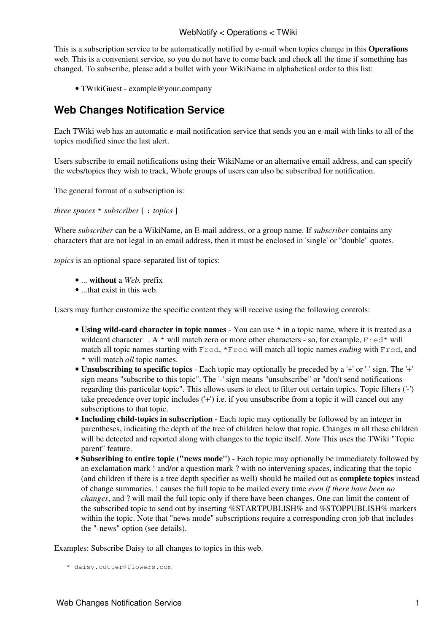This is a subscription service to be automatically notified by e-mail when topics change in this **Operations** web. This is a convenient service, so you do not have to come back and check all the time if something has changed. To subscribe, please add a bullet with your [WikiName](https://wiki-igi.cnaf.infn.it/twiki/bin/view/TWiki/WikiName) in alphabetical order to this list:

• [TWikiGuest](https://wiki-igi.cnaf.infn.it/twiki/bin/view/Main/TWikiGuest) - [example@your.company](mailto:example@your.company)

## **Web Changes Notification Service**

Each TWiki web has an automatic e-mail notification service that sends you an e-mail with links to all of the topics modified since the last alert.

Users subscribe to email notifications using their [WikiName](https://wiki-igi.cnaf.infn.it/twiki/bin/view/TWiki/WikiName) or an alternative email address, and can specify the webs/topics they wish to track, Whole groups of users can also be subscribed for notification.

The general format of a subscription is:

*three spaces* \* *subscriber* [ : *topics* ]

Where *subscriber* can be a [WikiName](https://wiki-igi.cnaf.infn.it/twiki/bin/view/TWiki/WikiName), an E-mail address, or a group name. If *subscriber* contains any characters that are not legal in an email address, then it must be enclosed in 'single' or "double" quotes.

*topics* is an optional space-separated list of topics:

- ... **without** a *Web.* prefix
- ...that exist in this web.

Users may further customize the specific content they will receive using the following controls:

- Using wild-card character in topic names You can use  $*$  in a topic name, where it is treated as a [wildcard character](http://en.wikipedia.org/wiki/Wildcard_character)  $A^*$  will match zero or more other characters - so, for example,  $Fred*$  will match all topic names starting with Fred, \*Fred will match all topic names *ending* with Fred, and \* will match *all* topic names.
- **Unsubscribing to specific topics** Each topic may optionally be preceded by a '+' or '-' sign. The '+' sign means "subscribe to this topic". The '-' sign means "unsubscribe" or "don't send notifications regarding this particular topic". This allows users to elect to filter out certain topics. Topic filters ('-') take precedence over topic includes ('+') i.e. if you unsubscribe from a topic it will cancel out any subscriptions to that topic.
- **Including child-topics in subscription** Each topic may optionally be followed by an integer in parentheses, indicating the depth of the tree of children below that topic. Changes in all these children will be detected and reported along with changes to the topic itself. *Note* This uses the TWiki "Topic parent" feature.
- **Subscribing to entire topic ("news mode")** Each topic may optionally be immediately followed by an exclamation mark ! and/or a question mark ? with no intervening spaces, indicating that the topic (and children if there is a tree depth specifier as well) should be mailed out as **complete topics** instead of change summaries. ! causes the full topic to be mailed every time *even if there have been no changes*, and ? will mail the full topic only if there have been changes. One can limit the content of the subscribed topic to send out by inserting %STARTPUBLISH% and %STOPPUBLISH% markers within the topic. Note that "news mode" subscriptions require a corresponding cron job that includes the "-news" option (see [details](https://wiki-igi.cnaf.infn.it/twiki/bin/view/TWiki/MailerContrib#Setting_up_your_cron_job_s)).

Examples: Subscribe Daisy to all changes to topics in this web.

\* daisy.cutter@flowers.com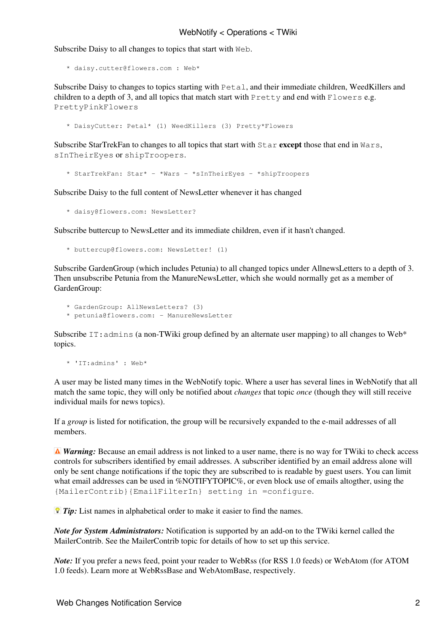## WebNotify < Operations < TWiki

Subscribe Daisy to all changes to topics that start with Web.

```
 * daisy.cutter@flowers.com : Web*
```
Subscribe Daisy to changes to topics starting with Petal, and their immediate children, WeedKillers and children to a depth of 3, and all topics that match start with  $P$ retty and end with  $F$ lowers e.g. PrettyPinkFlowers

\* DaisyCutter: Petal\* (1) WeedKillers (3) Pretty\*Flowers

Subscribe StarTrekFan to changes to all topics that start with Star **except** those that end in Wars, sInTheirEyes or shipTroopers.

```
 * StarTrekFan: Star* - *Wars - *sInTheirEyes - *shipTroopers
```
Subscribe Daisy to the full content of NewsLetter whenever it has changed

\* daisy@flowers.com: NewsLetter?

Subscribe buttercup to NewsLetter and its immediate children, even if it hasn't changed.

```
 * buttercup@flowers.com: NewsLetter! (1)
```
Subscribe GardenGroup (which includes Petunia) to all changed topics under AllnewsLetters to a depth of 3. Then unsubscribe Petunia from the ManureNewsLetter, which she would normally get as a member of [GardenGroup](https://wiki-igi.cnaf.infn.it/twiki/bin/edit/TWiki/GardenGroup?topicparent=Operations.WebNotify;nowysiwyg=0):

- \* GardenGroup: AllNewsLetters? (3)
- \* petunia@flowers.com: ManureNewsLetter

Subscribe IT: admins (a non-TWiki group defined by an alternate user mapping) to all changes to Web\* topics.

\* 'IT:admins' : Web\*

A user may be listed many times in the WebNotify topic. Where a user has several lines in WebNotify that all match the same topic, they will only be notified about *changes* that topic *once* (though they will still receive individual mails for news topics).

If a *group* is listed for notification, the group will be recursively expanded to the e-mail addresses of all members.

*A Warning:* Because an email address is not linked to a user name, there is no way for TWiki to check access controls for subscribers identified by email addresses. A subscriber identified by an email address alone will only be sent change notifications if the topic they are subscribed to is readable by guest users. You can limit what email addresses can be used in %NOTIFYTOPIC%, or even block use of emails altogther, using the {MailerContrib}{EmailFilterIn} setting in =configure.

*Tip:* List names in alphabetical order to make it easier to find the names.

*Note for System Administrators:* Notification is supported by an add-on to the TWiki kernel called the MailerContrib. See the [MailerContrib](https://wiki-igi.cnaf.infn.it/twiki/bin/view/TWiki/MailerContrib) topic for details of how to set up this service.

*Note:* If you prefer a news feed, point your reader to [WebRss](https://wiki-igi.cnaf.infn.it/twiki/bin/view/Operations/WebRss) (for RSS 1.0 feeds) or [WebAtom](https://wiki-igi.cnaf.infn.it/twiki/bin/view/Operations/WebAtom) (for ATOM 1.0 feeds). Learn more at [WebRssBase](https://wiki-igi.cnaf.infn.it/twiki/bin/view/TWiki/WebRssBase) and [WebAtomBase,](https://wiki-igi.cnaf.infn.it/twiki/bin/view/TWiki/WebAtomBase) respectively.